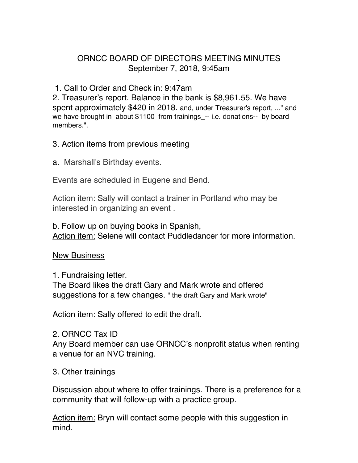# ORNCC BOARD OF DIRECTORS MEETING MINUTES September 7, 2018, 9:45am

.

## 1. Call to Order and Check in: 9:47am

2. Treasurer's report. Balance in the bank is \$8,961.55. We have spent approximately \$420 in 2018. and, under Treasurer's report, ..." and we have brought in about \$1100 from trainings\_-- i.e. donations-- by board members.".

## 3. Action items from previous meeting

a. Marshall's Birthday events.

Events are scheduled in Eugene and Bend.

Action item: Sally will contact a trainer in Portland who may be interested in organizing an event .

b. Follow up on buying books in Spanish, Action item: Selene will contact Puddledancer for more information.

### New Business

1. Fundraising letter.

The Board likes the draft Gary and Mark wrote and offered suggestions for a few changes. " the draft Gary and Mark wrote"

Action item: Sally offered to edit the draft.

### 2. ORNCC Tax ID

Any Board member can use ORNCC's nonprofit status when renting a venue for an NVC training.

### 3. Other trainings

Discussion about where to offer trainings. There is a preference for a community that will follow-up with a practice group.

Action item: Bryn will contact some people with this suggestion in mind.